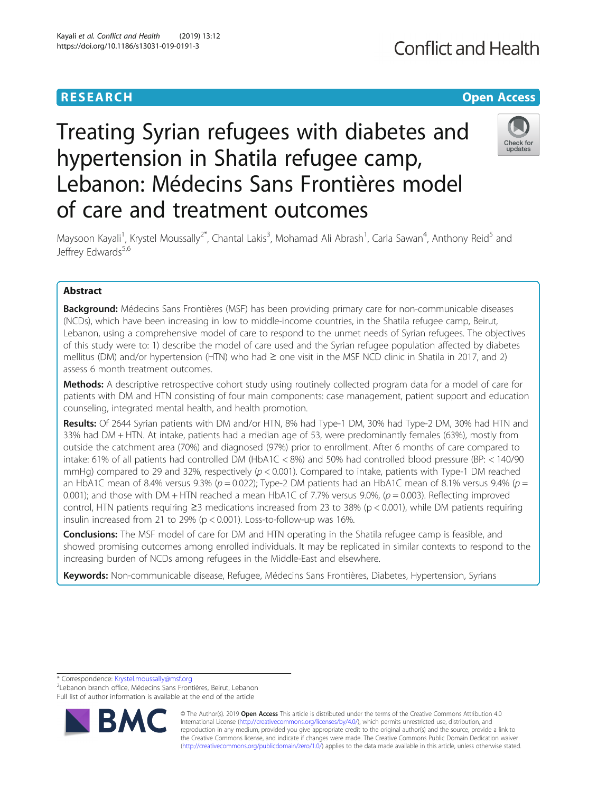## **RESEARCH CHE Open Access**

# Treating Syrian refugees with diabetes and hypertension in Shatila refugee camp, Lebanon: Médecins Sans Frontières model of care and treatment outcomes



Maysoon Kayali<sup>1</sup>, Krystel Moussally<sup>2\*</sup>, Chantal Lakis<sup>3</sup>, Mohamad Ali Abrash<sup>1</sup>, Carla Sawan<sup>4</sup>, Anthony Reid<sup>5</sup> and Jeffrey Edwards<sup>5,6</sup>

### Abstract

**Background:** Médecins Sans Frontières (MSF) has been providing primary care for non-communicable diseases (NCDs), which have been increasing in low to middle-income countries, in the Shatila refugee camp, Beirut, Lebanon, using a comprehensive model of care to respond to the unmet needs of Syrian refugees. The objectives of this study were to: 1) describe the model of care used and the Syrian refugee population affected by diabetes mellitus (DM) and/or hypertension (HTN) who had ≥ one visit in the MSF NCD clinic in Shatila in 2017, and 2) assess 6 month treatment outcomes.

Methods: A descriptive retrospective cohort study using routinely collected program data for a model of care for patients with DM and HTN consisting of four main components: case management, patient support and education counseling, integrated mental health, and health promotion.

Results: Of 2644 Syrian patients with DM and/or HTN, 8% had Type-1 DM, 30% had Type-2 DM, 30% had HTN and 33% had DM + HTN. At intake, patients had a median age of 53, were predominantly females (63%), mostly from outside the catchment area (70%) and diagnosed (97%) prior to enrollment. After 6 months of care compared to intake: 61% of all patients had controlled DM (HbA1C < 8%) and 50% had controlled blood pressure (BP: < 140/90 mmHg) compared to 29 and 32%, respectively ( $p < 0.001$ ). Compared to intake, patients with Type-1 DM reached an HbA1C mean of 8.4% versus 9.3% ( $p = 0.022$ ); Type-2 DM patients had an HbA1C mean of 8.1% versus 9.4% ( $p =$ 0.001); and those with DM + HTN reached a mean HbA1C of 7.7% versus 9.0%, ( $p = 0.003$ ). Reflecting improved control, HTN patients requiring ≥3 medications increased from 23 to 38% (p < 0.001), while DM patients requiring insulin increased from 21 to 29% (p < 0.001). Loss-to-follow-up was 16%.

Conclusions: The MSF model of care for DM and HTN operating in the Shatila refugee camp is feasible, and showed promising outcomes among enrolled individuals. It may be replicated in similar contexts to respond to the increasing burden of NCDs among refugees in the Middle-East and elsewhere.

Keywords: Non-communicable disease, Refugee, Médecins Sans Frontières, Diabetes, Hypertension, Syrians

\* Correspondence: [Krystel.moussally@msf.org](mailto:Krystel.moussally@msf.org) <sup>2</sup>

<sup>2</sup> Lebanon branch office, Médecins Sans Frontières, Beirut, Lebanon Full list of author information is available at the end of the article



© The Author(s). 2019 **Open Access** This article is distributed under the terms of the Creative Commons Attribution 4.0 International License [\(http://creativecommons.org/licenses/by/4.0/](http://creativecommons.org/licenses/by/4.0/)), which permits unrestricted use, distribution, and reproduction in any medium, provided you give appropriate credit to the original author(s) and the source, provide a link to the Creative Commons license, and indicate if changes were made. The Creative Commons Public Domain Dedication waiver [\(http://creativecommons.org/publicdomain/zero/1.0/](http://creativecommons.org/publicdomain/zero/1.0/)) applies to the data made available in this article, unless otherwise stated.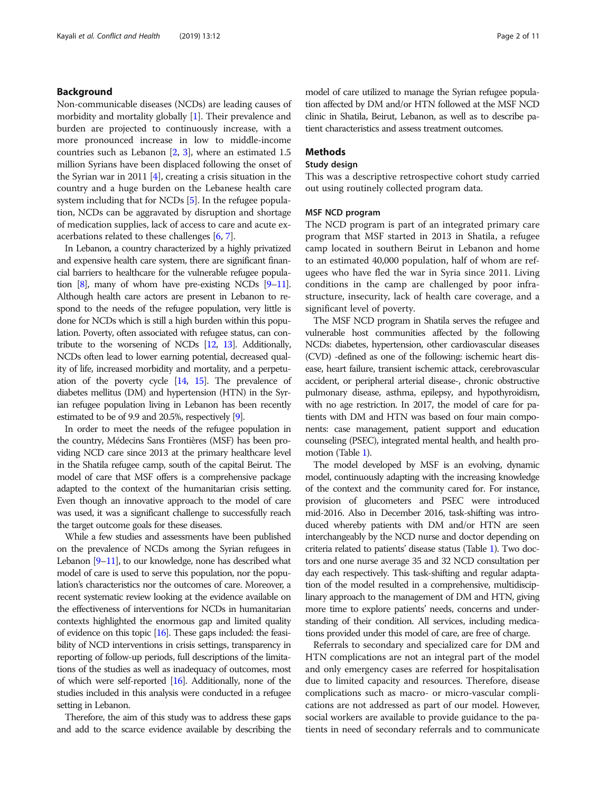#### Background

Non-communicable diseases (NCDs) are leading causes of morbidity and mortality globally [\[1](#page-9-0)]. Their prevalence and burden are projected to continuously increase, with a more pronounced increase in low to middle-income countries such as Lebanon  $[2, 3]$  $[2, 3]$  $[2, 3]$  $[2, 3]$ , where an estimated 1.5 million Syrians have been displaced following the onset of the Syrian war in 2011 [[4](#page-9-0)], creating a crisis situation in the country and a huge burden on the Lebanese health care system including that for NCDs [\[5\]](#page-9-0). In the refugee population, NCDs can be aggravated by disruption and shortage of medication supplies, lack of access to care and acute exacerbations related to these challenges [\[6](#page-9-0), [7\]](#page-9-0).

In Lebanon, a country characterized by a highly privatized and expensive health care system, there are significant financial barriers to healthcare for the vulnerable refugee population  $[8]$  $[8]$  $[8]$ , many of whom have pre-existing NCDs  $[9-11]$  $[9-11]$  $[9-11]$ . Although health care actors are present in Lebanon to respond to the needs of the refugee population, very little is done for NCDs which is still a high burden within this population. Poverty, often associated with refugee status, can contribute to the worsening of NCDs [\[12,](#page-9-0) [13\]](#page-9-0). Additionally, NCDs often lead to lower earning potential, decreased quality of life, increased morbidity and mortality, and a perpetuation of the poverty cycle [\[14](#page-9-0), [15](#page-9-0)]. The prevalence of diabetes mellitus (DM) and hypertension (HTN) in the Syrian refugee population living in Lebanon has been recently estimated to be of 9.9 and 20.5%, respectively [\[9\]](#page-9-0).

In order to meet the needs of the refugee population in the country, Médecins Sans Frontières (MSF) has been providing NCD care since 2013 at the primary healthcare level in the Shatila refugee camp, south of the capital Beirut. The model of care that MSF offers is a comprehensive package adapted to the context of the humanitarian crisis setting. Even though an innovative approach to the model of care was used, it was a significant challenge to successfully reach the target outcome goals for these diseases.

While a few studies and assessments have been published on the prevalence of NCDs among the Syrian refugees in Lebanon [\[9](#page-9-0)–[11](#page-9-0)], to our knowledge, none has described what model of care is used to serve this population, nor the population's characteristics nor the outcomes of care. Moreover, a recent systematic review looking at the evidence available on the effectiveness of interventions for NCDs in humanitarian contexts highlighted the enormous gap and limited quality of evidence on this topic [\[16](#page-10-0)]. These gaps included: the feasibility of NCD interventions in crisis settings, transparency in reporting of follow-up periods, full descriptions of the limitations of the studies as well as inadequacy of outcomes, most of which were self-reported [\[16](#page-10-0)]. Additionally, none of the studies included in this analysis were conducted in a refugee setting in Lebanon.

Therefore, the aim of this study was to address these gaps and add to the scarce evidence available by describing the model of care utilized to manage the Syrian refugee population affected by DM and/or HTN followed at the MSF NCD clinic in Shatila, Beirut, Lebanon, as well as to describe patient characteristics and assess treatment outcomes.

#### Methods

#### Study design

This was a descriptive retrospective cohort study carried out using routinely collected program data.

#### MSF NCD program

The NCD program is part of an integrated primary care program that MSF started in 2013 in Shatila, a refugee camp located in southern Beirut in Lebanon and home to an estimated 40,000 population, half of whom are refugees who have fled the war in Syria since 2011. Living conditions in the camp are challenged by poor infrastructure, insecurity, lack of health care coverage, and a significant level of poverty.

The MSF NCD program in Shatila serves the refugee and vulnerable host communities affected by the following NCDs: diabetes, hypertension, other cardiovascular diseases (CVD) -defined as one of the following: ischemic heart disease, heart failure, transient ischemic attack, cerebrovascular accident, or peripheral arterial disease-, chronic obstructive pulmonary disease, asthma, epilepsy, and hypothyroidism, with no age restriction. In 2017, the model of care for patients with DM and HTN was based on four main components: case management, patient support and education counseling (PSEC), integrated mental health, and health promotion (Table [1](#page-2-0)).

The model developed by MSF is an evolving, dynamic model, continuously adapting with the increasing knowledge of the context and the community cared for. For instance, provision of glucometers and PSEC were introduced mid-2016. Also in December 2016, task-shifting was introduced whereby patients with DM and/or HTN are seen interchangeably by the NCD nurse and doctor depending on criteria related to patients' disease status (Table [1](#page-2-0)). Two doctors and one nurse average 35 and 32 NCD consultation per day each respectively. This task-shifting and regular adaptation of the model resulted in a comprehensive, multidisciplinary approach to the management of DM and HTN, giving more time to explore patients' needs, concerns and understanding of their condition. All services, including medications provided under this model of care, are free of charge.

Referrals to secondary and specialized care for DM and HTN complications are not an integral part of the model and only emergency cases are referred for hospitalisation due to limited capacity and resources. Therefore, disease complications such as macro- or micro-vascular complications are not addressed as part of our model. However, social workers are available to provide guidance to the patients in need of secondary referrals and to communicate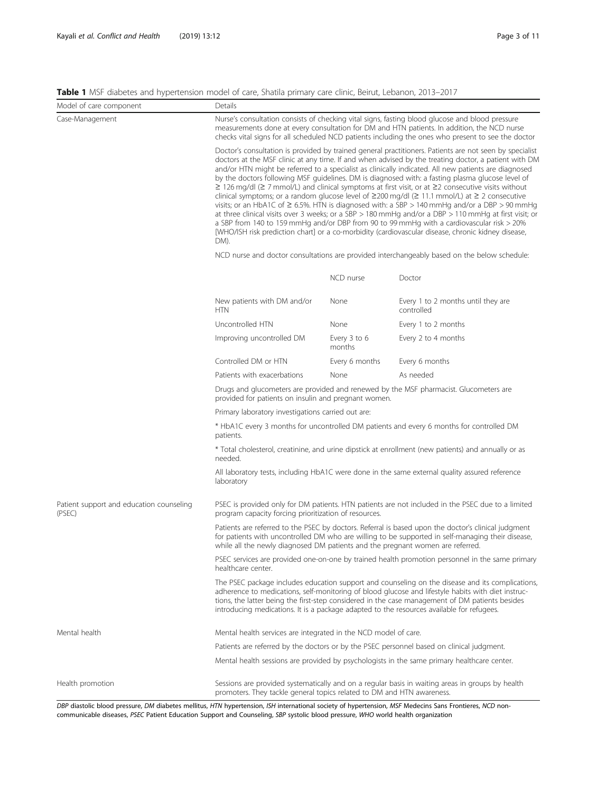<span id="page-2-0"></span>Table 1 MSF diabetes and hypertension model of care, Shatila primary care clinic, Beirut, Lebanon, 2013–2017

| Model of care component                            | Details                                                                                                                                                                                                                                                                                                                                                                                                |                                                                                                                                                                                                                                                                                                                                                                                                                                                                                                                                                                                                                                                                                                                                                                                                                                                                                                                                                                                                                                                                                        |                                                                                                  |  |  |  |
|----------------------------------------------------|--------------------------------------------------------------------------------------------------------------------------------------------------------------------------------------------------------------------------------------------------------------------------------------------------------------------------------------------------------------------------------------------------------|----------------------------------------------------------------------------------------------------------------------------------------------------------------------------------------------------------------------------------------------------------------------------------------------------------------------------------------------------------------------------------------------------------------------------------------------------------------------------------------------------------------------------------------------------------------------------------------------------------------------------------------------------------------------------------------------------------------------------------------------------------------------------------------------------------------------------------------------------------------------------------------------------------------------------------------------------------------------------------------------------------------------------------------------------------------------------------------|--------------------------------------------------------------------------------------------------|--|--|--|
| Case-Management                                    | Nurse's consultation consists of checking vital signs, fasting blood glucose and blood pressure<br>measurements done at every consultation for DM and HTN patients. In addition, the NCD nurse<br>checks vital signs for all scheduled NCD patients including the ones who present to see the doctor                                                                                                   |                                                                                                                                                                                                                                                                                                                                                                                                                                                                                                                                                                                                                                                                                                                                                                                                                                                                                                                                                                                                                                                                                        |                                                                                                  |  |  |  |
|                                                    | DM).                                                                                                                                                                                                                                                                                                                                                                                                   | Doctor's consultation is provided by trained general practitioners. Patients are not seen by specialist<br>doctors at the MSF clinic at any time. If and when advised by the treating doctor, a patient with DM<br>and/or HTN might be referred to a specialist as clinically indicated. All new patients are diagnosed<br>by the doctors following MSF guidelines. DM is diagnosed with: a fasting plasma glucose level of<br>$\geq$ 126 mq/dl ( $\geq$ 7 mmol/L) and clinical symptoms at first visit, or at $\geq$ 2 consecutive visits without<br>clinical symptoms; or a random glucose level of $\geq$ 200 mg/dl ( $\geq$ 11.1 mmol/L) at $\geq$ 2 consecutive<br>visits; or an HbA1C of $\geq$ 6.5%. HTN is diagnosed with: a SBP > 140 mmHg and/or a DBP > 90 mmHg<br>at three clinical visits over 3 weeks; or a SBP > 180 mmHg and/or a DBP > 110 mmHg at first visit; or<br>a SBP from 140 to 159 mmHg and/or DBP from 90 to 99 mmHg with a cardiovascular risk > 20%<br>[WHO/ISH risk prediction chart] or a co-morbidity (cardiovascular disease, chronic kidney disease, |                                                                                                  |  |  |  |
|                                                    | NCD nurse and doctor consultations are provided interchangeably based on the below schedule:                                                                                                                                                                                                                                                                                                           |                                                                                                                                                                                                                                                                                                                                                                                                                                                                                                                                                                                                                                                                                                                                                                                                                                                                                                                                                                                                                                                                                        |                                                                                                  |  |  |  |
|                                                    |                                                                                                                                                                                                                                                                                                                                                                                                        | NCD nurse                                                                                                                                                                                                                                                                                                                                                                                                                                                                                                                                                                                                                                                                                                                                                                                                                                                                                                                                                                                                                                                                              | Doctor                                                                                           |  |  |  |
|                                                    | New patients with DM and/or<br><b>HTN</b>                                                                                                                                                                                                                                                                                                                                                              | None                                                                                                                                                                                                                                                                                                                                                                                                                                                                                                                                                                                                                                                                                                                                                                                                                                                                                                                                                                                                                                                                                   | Every 1 to 2 months until they are<br>controlled                                                 |  |  |  |
|                                                    | Uncontrolled HTN                                                                                                                                                                                                                                                                                                                                                                                       | None                                                                                                                                                                                                                                                                                                                                                                                                                                                                                                                                                                                                                                                                                                                                                                                                                                                                                                                                                                                                                                                                                   | Every 1 to 2 months                                                                              |  |  |  |
|                                                    | Improving uncontrolled DM                                                                                                                                                                                                                                                                                                                                                                              | Every 3 to 6<br>months                                                                                                                                                                                                                                                                                                                                                                                                                                                                                                                                                                                                                                                                                                                                                                                                                                                                                                                                                                                                                                                                 | Every 2 to 4 months                                                                              |  |  |  |
|                                                    | Controlled DM or HTN                                                                                                                                                                                                                                                                                                                                                                                   | Every 6 months                                                                                                                                                                                                                                                                                                                                                                                                                                                                                                                                                                                                                                                                                                                                                                                                                                                                                                                                                                                                                                                                         | Every 6 months                                                                                   |  |  |  |
|                                                    | Patients with exacerbations                                                                                                                                                                                                                                                                                                                                                                            | None                                                                                                                                                                                                                                                                                                                                                                                                                                                                                                                                                                                                                                                                                                                                                                                                                                                                                                                                                                                                                                                                                   | As needed                                                                                        |  |  |  |
|                                                    | Drugs and glucometers are provided and renewed by the MSF pharmacist. Glucometers are<br>provided for patients on insulin and pregnant women.                                                                                                                                                                                                                                                          |                                                                                                                                                                                                                                                                                                                                                                                                                                                                                                                                                                                                                                                                                                                                                                                                                                                                                                                                                                                                                                                                                        |                                                                                                  |  |  |  |
|                                                    | Primary laboratory investigations carried out are:                                                                                                                                                                                                                                                                                                                                                     |                                                                                                                                                                                                                                                                                                                                                                                                                                                                                                                                                                                                                                                                                                                                                                                                                                                                                                                                                                                                                                                                                        |                                                                                                  |  |  |  |
|                                                    | * HbA1C every 3 months for uncontrolled DM patients and every 6 months for controlled DM<br>patients.                                                                                                                                                                                                                                                                                                  |                                                                                                                                                                                                                                                                                                                                                                                                                                                                                                                                                                                                                                                                                                                                                                                                                                                                                                                                                                                                                                                                                        |                                                                                                  |  |  |  |
|                                                    | * Total cholesterol, creatinine, and urine dipstick at enrollment (new patients) and annually or as<br>needed.                                                                                                                                                                                                                                                                                         |                                                                                                                                                                                                                                                                                                                                                                                                                                                                                                                                                                                                                                                                                                                                                                                                                                                                                                                                                                                                                                                                                        |                                                                                                  |  |  |  |
|                                                    | All laboratory tests, including HbA1C were done in the same external quality assured reference<br>laboratory                                                                                                                                                                                                                                                                                           |                                                                                                                                                                                                                                                                                                                                                                                                                                                                                                                                                                                                                                                                                                                                                                                                                                                                                                                                                                                                                                                                                        |                                                                                                  |  |  |  |
| Patient support and education counseling<br>(PSEC) | PSEC is provided only for DM patients. HTN patients are not included in the PSEC due to a limited<br>program capacity forcing prioritization of resources.                                                                                                                                                                                                                                             |                                                                                                                                                                                                                                                                                                                                                                                                                                                                                                                                                                                                                                                                                                                                                                                                                                                                                                                                                                                                                                                                                        |                                                                                                  |  |  |  |
|                                                    | Patients are referred to the PSEC by doctors. Referral is based upon the doctor's clinical judgment<br>for patients with uncontrolled DM who are willing to be supported in self-managing their disease,<br>while all the newly diagnosed DM patients and the pregnant women are referred.                                                                                                             |                                                                                                                                                                                                                                                                                                                                                                                                                                                                                                                                                                                                                                                                                                                                                                                                                                                                                                                                                                                                                                                                                        |                                                                                                  |  |  |  |
|                                                    | PSEC services are provided one-on-one by trained health promotion personnel in the same primary<br>healthcare center.                                                                                                                                                                                                                                                                                  |                                                                                                                                                                                                                                                                                                                                                                                                                                                                                                                                                                                                                                                                                                                                                                                                                                                                                                                                                                                                                                                                                        |                                                                                                  |  |  |  |
|                                                    | The PSEC package includes education support and counseling on the disease and its complications,<br>adherence to medications, self-monitoring of blood glucose and lifestyle habits with diet instruc-<br>tions, the latter being the first-step considered in the case management of DM patients besides<br>introducing medications. It is a package adapted to the resources available for refugees. |                                                                                                                                                                                                                                                                                                                                                                                                                                                                                                                                                                                                                                                                                                                                                                                                                                                                                                                                                                                                                                                                                        |                                                                                                  |  |  |  |
| Mental health                                      | Mental health services are integrated in the NCD model of care.                                                                                                                                                                                                                                                                                                                                        |                                                                                                                                                                                                                                                                                                                                                                                                                                                                                                                                                                                                                                                                                                                                                                                                                                                                                                                                                                                                                                                                                        |                                                                                                  |  |  |  |
|                                                    | Patients are referred by the doctors or by the PSEC personnel based on clinical judgment.                                                                                                                                                                                                                                                                                                              |                                                                                                                                                                                                                                                                                                                                                                                                                                                                                                                                                                                                                                                                                                                                                                                                                                                                                                                                                                                                                                                                                        |                                                                                                  |  |  |  |
|                                                    |                                                                                                                                                                                                                                                                                                                                                                                                        |                                                                                                                                                                                                                                                                                                                                                                                                                                                                                                                                                                                                                                                                                                                                                                                                                                                                                                                                                                                                                                                                                        | Mental health sessions are provided by psychologists in the same primary healthcare center.      |  |  |  |
| Health promotion                                   | promoters. They tackle general topics related to DM and HTN awareness.                                                                                                                                                                                                                                                                                                                                 |                                                                                                                                                                                                                                                                                                                                                                                                                                                                                                                                                                                                                                                                                                                                                                                                                                                                                                                                                                                                                                                                                        | Sessions are provided systematically and on a regular basis in waiting areas in groups by health |  |  |  |

DBP diastolic blood pressure, DM diabetes mellitus, HTN hypertension, ISH international society of hypertension, MSF Medecins Sans Frontieres, NCD noncommunicable diseases, PSEC Patient Education Support and Counseling, SBP systolic blood pressure, WHO world health organization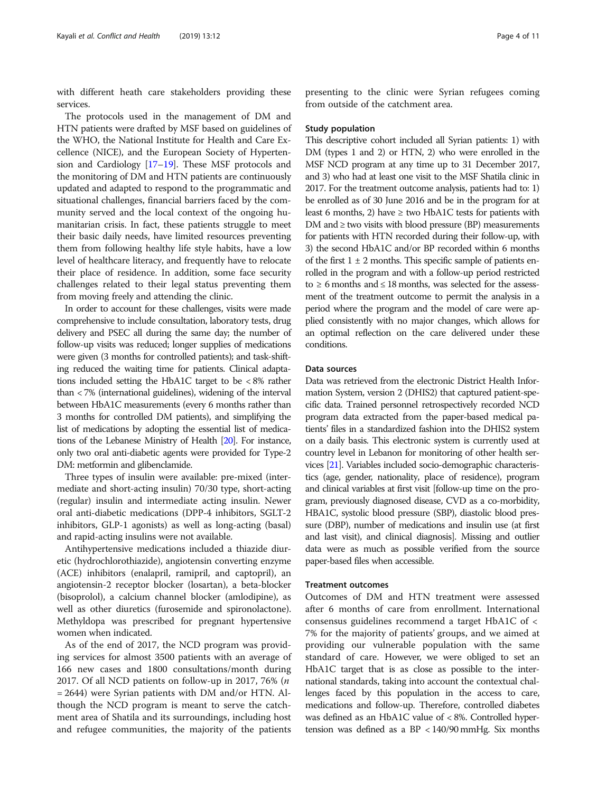with different heath care stakeholders providing these services.

The protocols used in the management of DM and HTN patients were drafted by MSF based on guidelines of the WHO, the National Institute for Health and Care Excellence (NICE), and the European Society of Hypertension and Cardiology [[17](#page-10-0)–[19\]](#page-10-0). These MSF protocols and the monitoring of DM and HTN patients are continuously updated and adapted to respond to the programmatic and situational challenges, financial barriers faced by the community served and the local context of the ongoing humanitarian crisis. In fact, these patients struggle to meet their basic daily needs, have limited resources preventing them from following healthy life style habits, have a low level of healthcare literacy, and frequently have to relocate their place of residence. In addition, some face security challenges related to their legal status preventing them from moving freely and attending the clinic.

In order to account for these challenges, visits were made comprehensive to include consultation, laboratory tests, drug delivery and PSEC all during the same day; the number of follow-up visits was reduced; longer supplies of medications were given (3 months for controlled patients); and task-shifting reduced the waiting time for patients. Clinical adaptations included setting the HbA1C target to be < 8% rather than < 7% (international guidelines), widening of the interval between HbA1C measurements (every 6 months rather than 3 months for controlled DM patients), and simplifying the list of medications by adopting the essential list of medications of the Lebanese Ministry of Health [\[20](#page-10-0)]. For instance, only two oral anti-diabetic agents were provided for Type-2 DM: metformin and glibenclamide.

Three types of insulin were available: pre-mixed (intermediate and short-acting insulin) 70/30 type, short-acting (regular) insulin and intermediate acting insulin. Newer oral anti-diabetic medications (DPP-4 inhibitors, SGLT-2 inhibitors, GLP-1 agonists) as well as long-acting (basal) and rapid-acting insulins were not available.

Antihypertensive medications included a thiazide diuretic (hydrochlorothiazide), angiotensin converting enzyme (ACE) inhibitors (enalapril, ramipril, and captopril), an angiotensin-2 receptor blocker (losartan), a beta-blocker (bisoprolol), a calcium channel blocker (amlodipine), as well as other diuretics (furosemide and spironolactone). Methyldopa was prescribed for pregnant hypertensive women when indicated.

As of the end of 2017, the NCD program was providing services for almost 3500 patients with an average of 166 new cases and 1800 consultations/month during 2017. Of all NCD patients on follow-up in 2017, 76% (n = 2644) were Syrian patients with DM and/or HTN. Although the NCD program is meant to serve the catchment area of Shatila and its surroundings, including host and refugee communities, the majority of the patients

presenting to the clinic were Syrian refugees coming from outside of the catchment area.

#### Study population

This descriptive cohort included all Syrian patients: 1) with DM (types 1 and 2) or HTN, 2) who were enrolled in the MSF NCD program at any time up to 31 December 2017, and 3) who had at least one visit to the MSF Shatila clinic in 2017. For the treatment outcome analysis, patients had to: 1) be enrolled as of 30 June 2016 and be in the program for at least 6 months, 2) have  $\geq$  two HbA1C tests for patients with DM and  $\geq$  two visits with blood pressure (BP) measurements for patients with HTN recorded during their follow-up, with 3) the second HbA1C and/or BP recorded within 6 months of the first  $1 \pm 2$  months. This specific sample of patients enrolled in the program and with a follow-up period restricted to  $\geq 6$  months and  $\leq 18$  months, was selected for the assessment of the treatment outcome to permit the analysis in a period where the program and the model of care were applied consistently with no major changes, which allows for an optimal reflection on the care delivered under these conditions.

#### Data sources

Data was retrieved from the electronic District Health Information System, version 2 (DHIS2) that captured patient-specific data. Trained personnel retrospectively recorded NCD program data extracted from the paper-based medical patients' files in a standardized fashion into the DHIS2 system on a daily basis. This electronic system is currently used at country level in Lebanon for monitoring of other health services [[21\]](#page-10-0). Variables included socio-demographic characteristics (age, gender, nationality, place of residence), program and clinical variables at first visit [follow-up time on the program, previously diagnosed disease, CVD as a co-morbidity, HBA1C, systolic blood pressure (SBP), diastolic blood pressure (DBP), number of medications and insulin use (at first and last visit), and clinical diagnosis]. Missing and outlier data were as much as possible verified from the source paper-based files when accessible.

#### Treatment outcomes

Outcomes of DM and HTN treatment were assessed after 6 months of care from enrollment. International consensus guidelines recommend a target HbA1C of < 7% for the majority of patients' groups, and we aimed at providing our vulnerable population with the same standard of care. However, we were obliged to set an HbA1C target that is as close as possible to the international standards, taking into account the contextual challenges faced by this population in the access to care, medications and follow-up. Therefore, controlled diabetes was defined as an HbA1C value of < 8%. Controlled hypertension was defined as a  $BP < 140/90$  mmHg. Six months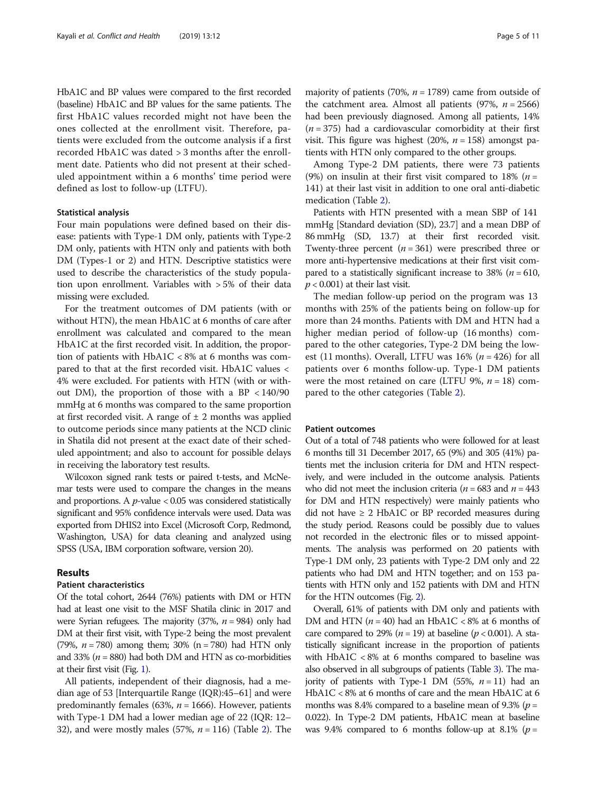HbA1C and BP values were compared to the first recorded (baseline) HbA1C and BP values for the same patients. The first HbA1C values recorded might not have been the ones collected at the enrollment visit. Therefore, patients were excluded from the outcome analysis if a first recorded HbA1C was dated > 3 months after the enrollment date. Patients who did not present at their scheduled appointment within a 6 months' time period were defined as lost to follow-up (LTFU).

#### Statistical analysis

Four main populations were defined based on their disease: patients with Type-1 DM only, patients with Type-2 DM only, patients with HTN only and patients with both DM (Types-1 or 2) and HTN. Descriptive statistics were used to describe the characteristics of the study population upon enrollment. Variables with > 5% of their data missing were excluded.

For the treatment outcomes of DM patients (with or without HTN), the mean HbA1C at 6 months of care after enrollment was calculated and compared to the mean HbA1C at the first recorded visit. In addition, the proportion of patients with HbA1C < 8% at 6 months was compared to that at the first recorded visit. HbA1C values < 4% were excluded. For patients with HTN (with or without DM), the proportion of those with a BP  $<$  140/90 mmHg at 6 months was compared to the same proportion at first recorded visit. A range of  $\pm 2$  months was applied to outcome periods since many patients at the NCD clinic in Shatila did not present at the exact date of their scheduled appointment; and also to account for possible delays in receiving the laboratory test results.

Wilcoxon signed rank tests or paired t-tests, and McNemar tests were used to compare the changes in the means and proportions. A  $p$ -value  $< 0.05$  was considered statistically significant and 95% confidence intervals were used. Data was exported from DHIS2 into Excel (Microsoft Corp, Redmond, Washington, USA) for data cleaning and analyzed using SPSS (USA, IBM corporation software, version 20).

#### Results

#### Patient characteristics

Of the total cohort, 2644 (76%) patients with DM or HTN had at least one visit to the MSF Shatila clinic in 2017 and were Syrian refugees. The majority  $(37%, n = 984)$  only had DM at their first visit, with Type-2 being the most prevalent (79%,  $n = 780$ ) among them; 30% (n = 780) had HTN only and 33% ( $n = 880$ ) had both DM and HTN as co-morbidities at their first visit (Fig. [1](#page-5-0)).

All patients, independent of their diagnosis, had a median age of 53 [Interquartile Range (IQR):45–61] and were predominantly females (63%,  $n = 1666$ ). However, patients with Type-1 DM had a lower median age of 22 (IQR: 12– 3[2\)](#page-6-0), and were mostly males  $(57\%, n = 116)$  (Table 2). The majority of patients (70%,  $n = 1789$ ) came from outside of the catchment area. Almost all patients (97%,  $n = 2566$ ) had been previously diagnosed. Among all patients, 14%  $(n = 375)$  had a cardiovascular comorbidity at their first visit. This figure was highest (20%,  $n = 158$ ) amongst patients with HTN only compared to the other groups.

Among Type-2 DM patients, there were 73 patients (9%) on insulin at their first visit compared to 18% ( $n =$ 141) at their last visit in addition to one oral anti-diabetic medication (Table [2](#page-6-0)).

Patients with HTN presented with a mean SBP of 141 mmHg [Standard deviation (SD), 23.7] and a mean DBP of 86 mmHg (SD, 13.7) at their first recorded visit. Twenty-three percent  $(n = 361)$  were prescribed three or more anti-hypertensive medications at their first visit compared to a statistically significant increase to 38% ( $n = 610$ ,  $p < 0.001$ ) at their last visit.

The median follow-up period on the program was 13 months with 25% of the patients being on follow-up for more than 24 months. Patients with DM and HTN had a higher median period of follow-up (16 months) compared to the other categories, Type-2 DM being the lowest (11 months). Overall, LTFU was  $16\%$  ( $n = 426$ ) for all patients over 6 months follow-up. Type-1 DM patients were the most retained on care (LTFU 9%,  $n = 18$ ) compared to the other categories (Table [2\)](#page-6-0).

#### Patient outcomes

Out of a total of 748 patients who were followed for at least 6 months till 31 December 2017, 65 (9%) and 305 (41%) patients met the inclusion criteria for DM and HTN respectively, and were included in the outcome analysis. Patients who did not meet the inclusion criteria ( $n = 683$  and  $n = 443$ ) for DM and HTN respectively) were mainly patients who did not have  $\geq 2$  HbA1C or BP recorded measures during the study period. Reasons could be possibly due to values not recorded in the electronic files or to missed appointments. The analysis was performed on 20 patients with Type-1 DM only, 23 patients with Type-2 DM only and 22 patients who had DM and HTN together; and on 153 patients with HTN only and 152 patients with DM and HTN for the HTN outcomes (Fig. [2](#page-7-0)).

Overall, 61% of patients with DM only and patients with DM and HTN  $(n = 40)$  had an HbA1C < 8% at 6 months of care compared to 29% ( $n = 19$ ) at baseline ( $p < 0.001$ ). A statistically significant increase in the proportion of patients with HbA1C < 8% at 6 months compared to baseline was also observed in all subgroups of patients (Table [3](#page-7-0)). The majority of patients with Type-1 DM (55%,  $n = 11$ ) had an HbA1C < 8% at 6 months of care and the mean HbA1C at 6 months was 8.4% compared to a baseline mean of 9.3% ( $p =$ 0.022). In Type-2 DM patients, HbA1C mean at baseline was 9.4% compared to 6 months follow-up at 8.1% ( $p =$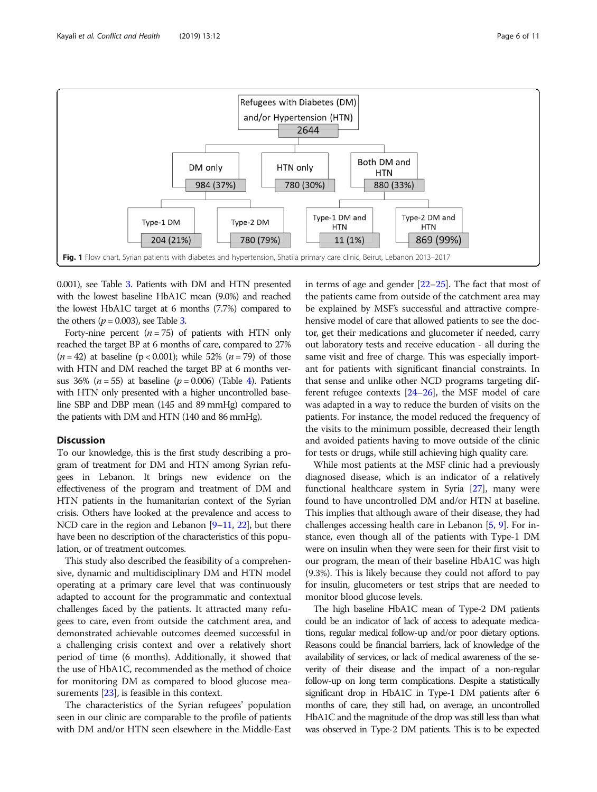

<span id="page-5-0"></span>

0.001), see Table [3](#page-7-0). Patients with DM and HTN presented with the lowest baseline HbA1C mean (9.0%) and reached the lowest HbA1C target at 6 months (7.7%) compared to the others ( $p = 0.003$  $p = 0.003$ ), see Table 3.

Forty-nine percent  $(n = 75)$  of patients with HTN only reached the target BP at 6 months of care, compared to 27%  $(n = 42)$  at baseline  $(p < 0.001)$ ; while 52%  $(n = 79)$  of those with HTN and DM reached the target BP at 6 months versus 36% ( $n = 55$ ) at baseline ( $p = 0.006$ ) (Table [4\)](#page-8-0). Patients with HTN only presented with a higher uncontrolled baseline SBP and DBP mean (145 and 89 mmHg) compared to the patients with DM and HTN (140 and 86 mmHg).

#### **Discussion**

To our knowledge, this is the first study describing a program of treatment for DM and HTN among Syrian refugees in Lebanon. It brings new evidence on the effectiveness of the program and treatment of DM and HTN patients in the humanitarian context of the Syrian crisis. Others have looked at the prevalence and access to NCD care in the region and Lebanon [[9](#page-9-0)–[11,](#page-9-0) [22](#page-10-0)], but there have been no description of the characteristics of this population, or of treatment outcomes.

This study also described the feasibility of a comprehensive, dynamic and multidisciplinary DM and HTN model operating at a primary care level that was continuously adapted to account for the programmatic and contextual challenges faced by the patients. It attracted many refugees to care, even from outside the catchment area, and demonstrated achievable outcomes deemed successful in a challenging crisis context and over a relatively short period of time (6 months). Additionally, it showed that the use of HbA1C, recommended as the method of choice for monitoring DM as compared to blood glucose mea-surements [[23](#page-10-0)], is feasible in this context.

The characteristics of the Syrian refugees' population seen in our clinic are comparable to the profile of patients with DM and/or HTN seen elsewhere in the Middle-East in terms of age and gender [\[22](#page-10-0)–[25\]](#page-10-0). The fact that most of the patients came from outside of the catchment area may be explained by MSF's successful and attractive comprehensive model of care that allowed patients to see the doctor, get their medications and glucometer if needed, carry out laboratory tests and receive education - all during the same visit and free of charge. This was especially important for patients with significant financial constraints. In that sense and unlike other NCD programs targeting different refugee contexts [[24](#page-10-0)–[26\]](#page-10-0), the MSF model of care was adapted in a way to reduce the burden of visits on the patients. For instance, the model reduced the frequency of the visits to the minimum possible, decreased their length and avoided patients having to move outside of the clinic for tests or drugs, while still achieving high quality care.

While most patients at the MSF clinic had a previously diagnosed disease, which is an indicator of a relatively functional healthcare system in Syria [[27](#page-10-0)], many were found to have uncontrolled DM and/or HTN at baseline. This implies that although aware of their disease, they had challenges accessing health care in Lebanon [[5](#page-9-0), [9](#page-9-0)]. For instance, even though all of the patients with Type-1 DM were on insulin when they were seen for their first visit to our program, the mean of their baseline HbA1C was high (9.3%). This is likely because they could not afford to pay for insulin, glucometers or test strips that are needed to monitor blood glucose levels.

The high baseline HbA1C mean of Type-2 DM patients could be an indicator of lack of access to adequate medications, regular medical follow-up and/or poor dietary options. Reasons could be financial barriers, lack of knowledge of the availability of services, or lack of medical awareness of the severity of their disease and the impact of a non-regular follow-up on long term complications. Despite a statistically significant drop in HbA1C in Type-1 DM patients after 6 months of care, they still had, on average, an uncontrolled HbA1C and the magnitude of the drop was still less than what was observed in Type-2 DM patients. This is to be expected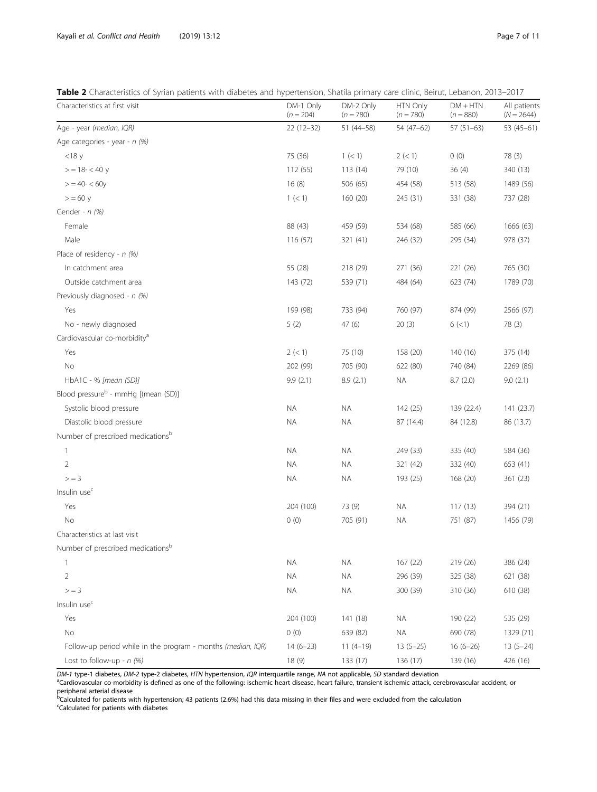<span id="page-6-0"></span>Table 2 Characteristics of Syrian patients with diabetes and hypertension, Shatila primary care clinic, Beirut, Lebanon, 2013–2017

| Characteristics at first visit                               | DM-1 Only<br>$(n = 204)$ | DM-2 Only<br>$(n = 780)$ | HTN Only<br>$(n = 780)$ | $DM + HTN$<br>$(n = 880)$ | All patients<br>$(N = 2644)$ |
|--------------------------------------------------------------|--------------------------|--------------------------|-------------------------|---------------------------|------------------------------|
| Age - year (median, IQR)                                     | $22(12-32)$              | 51 (44-58)               | 54 (47-62)              | $57(51-63)$               | 53 $(45-61)$                 |
| Age categories - year - n (%)                                |                          |                          |                         |                           |                              |
| $<$ 18 $y$                                                   | 75 (36)                  | 1 (< 1)                  | 2 (< 1)                 | 0(0)                      | 78 (3)                       |
| $>$ = 18- < 40 y                                             | 112 (55)                 | 113(14)                  | 79 (10)                 | 36(4)                     | 340 (13)                     |
| $> 40 - 60y$                                                 | 16(8)                    | 506 (65)                 | 454 (58)                | 513 (58)                  | 1489 (56)                    |
| $> 60$ y                                                     | 1 (< 1)                  | 160(20)                  | 245 (31)                | 331 (38)                  | 737 (28)                     |
| Gender - n (%)                                               |                          |                          |                         |                           |                              |
| Female                                                       | 88 (43)                  | 459 (59)                 | 534 (68)                | 585 (66)                  | 1666 (63)                    |
| Male                                                         | 116 (57)                 | 321 (41)                 | 246 (32)                | 295 (34)                  | 978 (37)                     |
| Place of residency - $n$ (%)                                 |                          |                          |                         |                           |                              |
| In catchment area                                            | 55 (28)                  | 218 (29)                 | 271 (36)                | 221 (26)                  | 765 (30)                     |
| Outside catchment area                                       | 143 (72)                 | 539 (71)                 | 484 (64)                | 623 (74)                  | 1789 (70)                    |
| Previously diagnosed - n (%)                                 |                          |                          |                         |                           |                              |
| Yes                                                          | 199 (98)                 | 733 (94)                 | 760 (97)                | 874 (99)                  | 2566 (97)                    |
| No - newly diagnosed                                         | 5(2)                     | 47(6)                    | 20(3)                   | 6(1)                      | 78 (3)                       |
| Cardiovascular co-morbidity <sup>a</sup>                     |                          |                          |                         |                           |                              |
| Yes                                                          | 2 (< 1)                  | 75 (10)                  | 158 (20)                | 140 (16)                  | 375 (14)                     |
| No                                                           | 202 (99)                 | 705 (90)                 | 622 (80)                | 740 (84)                  | 2269 (86)                    |
| HbA1C - % [mean (SD)]                                        | 9.9(2.1)                 | 8.9(2.1)                 | ΝA                      | 8.7(2.0)                  | 9.0(2.1)                     |
| Blood pressure <sup>b</sup> - mmHg [(mean (SD)]              |                          |                          |                         |                           |                              |
| Systolic blood pressure                                      | NA.                      | NA.                      | 142 (25)                | 139 (22.4)                | 141 (23.7)                   |
| Diastolic blood pressure                                     | ΝA                       | NA.                      | 87 (14.4)               | 84 (12.8)                 | 86 (13.7)                    |
| Number of prescribed medicationsb                            |                          |                          |                         |                           |                              |
| $\mathbf{1}$                                                 | NA.                      | NA.                      | 249 (33)                | 335 (40)                  | 584 (36)                     |
| $\overline{2}$                                               | ΝA                       | NA.                      | 321 (42)                | 332 (40)                  | 653 (41)                     |
| > 3                                                          | ΝA                       | ΝA                       | 193 (25)                | 168 (20)                  | 361 (23)                     |
| Insulin use <sup>c</sup>                                     |                          |                          |                         |                           |                              |
| Yes                                                          | 204 (100)                | 73 (9)                   | <b>NA</b>               | 117(13)                   | 394 (21)                     |
| No                                                           | 0(0)                     | 705 (91)                 | NA.                     | 751 (87)                  | 1456 (79)                    |
| Characteristics at last visit                                |                          |                          |                         |                           |                              |
| Number of prescribed medications <sup>b</sup>                |                          |                          |                         |                           |                              |
| 1                                                            | <b>NA</b>                | ΝA                       | 167(22)                 | 219 (26)                  | 386 (24)                     |
| $\overline{2}$                                               | <b>NA</b>                | <b>NA</b>                | 296 (39)                | 325 (38)                  | 621 (38)                     |
| $>$ = 3                                                      | <b>NA</b>                | <b>NA</b>                | 300 (39)                | 310 (36)                  | 610 (38)                     |
| Insulin use <sup>c</sup>                                     |                          |                          |                         |                           |                              |
| Yes                                                          | 204 (100)                | 141 (18)                 | <b>NA</b>               | 190 (22)                  | 535 (29)                     |
| No                                                           | 0(0)                     | 639 (82)                 | <b>NA</b>               | 690 (78)                  | 1329 (71)                    |
| Follow-up period while in the program - months (median, IQR) | $14(6-23)$               | $11(4-19)$               | $13(5-25)$              | $16(6-26)$                | $13(5-24)$                   |
| Lost to follow-up - $n$ (%)                                  | 18 (9)                   | 133 (17)                 | 136 (17)                | 139 (16)                  | 426 (16)                     |

DM-1 type-1 diabetes, DM-2 type-2 diabetes, HTN hypertension, IQR interquartile range, NA not applicable, SD standard deviation

aCardiovascular co-morbidity is defined as one of the following: ischemic heart disease, heart failure, transient ischemic attack, cerebrovascular accident, or

peripheral arterial disease<br><sup>b</sup>Calculated for patients with hypertension; 43 patients (2.6%) had this data missing in their files and were excluded from the calculation <sup>c</sup>Calculated for patients with diabetes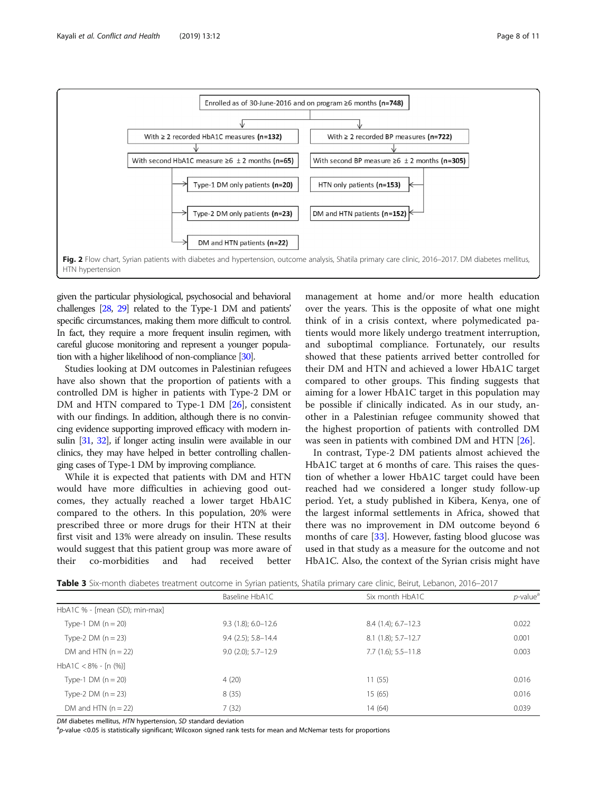<span id="page-7-0"></span>

given the particular physiological, psychosocial and behavioral challenges [\[28,](#page-10-0) [29](#page-10-0)] related to the Type-1 DM and patients' specific circumstances, making them more difficult to control. In fact, they require a more frequent insulin regimen, with careful glucose monitoring and represent a younger population with a higher likelihood of non-compliance [\[30](#page-10-0)].

Studies looking at DM outcomes in Palestinian refugees have also shown that the proportion of patients with a controlled DM is higher in patients with Type-2 DM or DM and HTN compared to Type-1 DM [[26](#page-10-0)], consistent with our findings. In addition, although there is no convincing evidence supporting improved efficacy with modern insulin [[31,](#page-10-0) [32\]](#page-10-0), if longer acting insulin were available in our clinics, they may have helped in better controlling challenging cases of Type-1 DM by improving compliance.

While it is expected that patients with DM and HTN would have more difficulties in achieving good outcomes, they actually reached a lower target HbA1C compared to the others. In this population, 20% were prescribed three or more drugs for their HTN at their first visit and 13% were already on insulin. These results would suggest that this patient group was more aware of their co-morbidities and had received better

management at home and/or more health education over the years. This is the opposite of what one might think of in a crisis context, where polymedicated patients would more likely undergo treatment interruption, and suboptimal compliance. Fortunately, our results showed that these patients arrived better controlled for their DM and HTN and achieved a lower HbA1C target compared to other groups. This finding suggests that aiming for a lower HbA1C target in this population may be possible if clinically indicated. As in our study, another in a Palestinian refugee community showed that the highest proportion of patients with controlled DM was seen in patients with combined DM and HTN [[26\]](#page-10-0).

In contrast, Type-2 DM patients almost achieved the HbA1C target at 6 months of care. This raises the question of whether a lower HbA1C target could have been reached had we considered a longer study follow-up period. Yet, a study published in Kibera, Kenya, one of the largest informal settlements in Africa, showed that there was no improvement in DM outcome beyond 6 months of care [[33](#page-10-0)]. However, fasting blood glucose was used in that study as a measure for the outcome and not HbA1C. Also, the context of the Syrian crisis might have

Table 3 Six-month diabetes treatment outcome in Syrian patients, Shatila primary care clinic, Beirut, Lebanon, 2016–2017

|                                | Baseline HbA1C            | Six month HbA1C         | $p$ -value <sup>a</sup> |
|--------------------------------|---------------------------|-------------------------|-------------------------|
| HbA1C % - [mean (SD); min-max] |                           |                         |                         |
| Type-1 DM $(n = 20)$           | $9.3(1.8)$ ; 6.0-12.6     | $8.4(1.4)$ ; 6.7-12.3   | 0.022                   |
| Type-2 DM $(n = 23)$           | $9.4$ (2.5); 5.8-14.4     | $8.1$ (1.8); $5.7-12.7$ | 0.001                   |
| DM and HTN $(n = 22)$          | $9.0$ (2.0); $5.7 - 12.9$ | $7.7(1.6)$ ; 5.5-11.8   | 0.003                   |
| $HbA1C < 8% - [n (%)]$         |                           |                         |                         |
| Type-1 DM $(n = 20)$           | 4(20)                     | 11(55)                  | 0.016                   |
| Type-2 DM $(n = 23)$           | 8(35)                     | 15(65)                  | 0.016                   |
| DM and HTN $(n = 22)$          | 7(32)                     | 14 (64)                 | 0.039                   |

DM diabetes mellitus, HTN hypertension, SD standard deviation

 ${}^{a}p$ -value <0.05 is statistically significant; Wilcoxon signed rank tests for mean and McNemar tests for proportions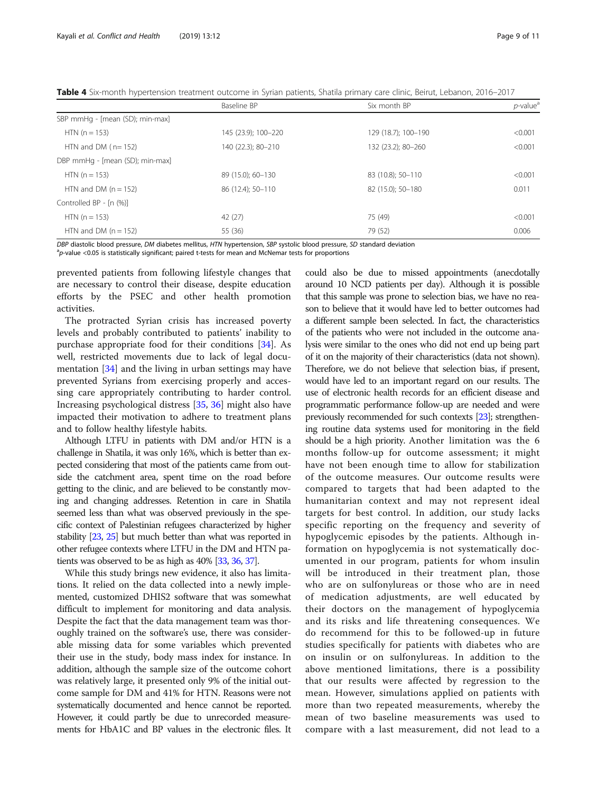<span id="page-8-0"></span>Table 4 Six-month hypertension treatment outcome in Syrian patients, Shatila primary care clinic, Beirut, Lebanon, 2016–2017

|                                 | Baseline BP         | Six month BP        | $p$ -value <sup>a</sup> |
|---------------------------------|---------------------|---------------------|-------------------------|
| SBP mmHg - [mean (SD); min-max] |                     |                     |                         |
| $HTN(n = 153)$                  | 145 (23.9); 100-220 | 129 (18.7); 100-190 | < 0.001                 |
| HTN and DM $(n=152)$            | 140 (22.3); 80-210  | 132 (23.2); 80-260  | < 0.001                 |
| DBP mmHg - [mean (SD); min-max] |                     |                     |                         |
| $HTN(n = 153)$                  | 89 (15.0); 60-130   | 83 (10.8); 50-110   | < 0.001                 |
| HTN and DM $(n = 152)$          | 86 (12.4); 50-110   | 82 (15.0); 50-180   | 0.011                   |
| Controlled BP - [n (%)]         |                     |                     |                         |
| $HTN(n = 153)$                  | 42 (27)             | 75 (49)             | < 0.001                 |
| HTN and DM $(n = 152)$          | 55 (36)             | 79 (52)             | 0.006                   |

DBP diastolic blood pressure, DM diabetes mellitus, HTN hypertension, SBP systolic blood pressure, SD standard deviation

 ${}^{a}p$ -value <0.05 is statistically significant; paired t-tests for mean and McNemar tests for proportions

prevented patients from following lifestyle changes that are necessary to control their disease, despite education efforts by the PSEC and other health promotion activities.

The protracted Syrian crisis has increased poverty levels and probably contributed to patients' inability to purchase appropriate food for their conditions [\[34](#page-10-0)]. As well, restricted movements due to lack of legal documentation [[34\]](#page-10-0) and the living in urban settings may have prevented Syrians from exercising properly and accessing care appropriately contributing to harder control. Increasing psychological distress [[35](#page-10-0), [36](#page-10-0)] might also have impacted their motivation to adhere to treatment plans and to follow healthy lifestyle habits.

Although LTFU in patients with DM and/or HTN is a challenge in Shatila, it was only 16%, which is better than expected considering that most of the patients came from outside the catchment area, spent time on the road before getting to the clinic, and are believed to be constantly moving and changing addresses. Retention in care in Shatila seemed less than what was observed previously in the specific context of Palestinian refugees characterized by higher stability [\[23](#page-10-0), [25](#page-10-0)] but much better than what was reported in other refugee contexts where LTFU in the DM and HTN patients was observed to be as high as 40% [\[33](#page-10-0), [36](#page-10-0), [37\]](#page-10-0).

While this study brings new evidence, it also has limitations. It relied on the data collected into a newly implemented, customized DHIS2 software that was somewhat difficult to implement for monitoring and data analysis. Despite the fact that the data management team was thoroughly trained on the software's use, there was considerable missing data for some variables which prevented their use in the study, body mass index for instance. In addition, although the sample size of the outcome cohort was relatively large, it presented only 9% of the initial outcome sample for DM and 41% for HTN. Reasons were not systematically documented and hence cannot be reported. However, it could partly be due to unrecorded measurements for HbA1C and BP values in the electronic files. It

could also be due to missed appointments (anecdotally around 10 NCD patients per day). Although it is possible that this sample was prone to selection bias, we have no reason to believe that it would have led to better outcomes had a different sample been selected. In fact, the characteristics of the patients who were not included in the outcome analysis were similar to the ones who did not end up being part of it on the majority of their characteristics (data not shown). Therefore, we do not believe that selection bias, if present, would have led to an important regard on our results. The use of electronic health records for an efficient disease and programmatic performance follow-up are needed and were previously recommended for such contexts [\[23\]](#page-10-0); strengthening routine data systems used for monitoring in the field should be a high priority. Another limitation was the 6 months follow-up for outcome assessment; it might have not been enough time to allow for stabilization of the outcome measures. Our outcome results were compared to targets that had been adapted to the humanitarian context and may not represent ideal targets for best control. In addition, our study lacks specific reporting on the frequency and severity of hypoglycemic episodes by the patients. Although information on hypoglycemia is not systematically documented in our program, patients for whom insulin will be introduced in their treatment plan, those who are on sulfonylureas or those who are in need of medication adjustments, are well educated by their doctors on the management of hypoglycemia and its risks and life threatening consequences. We do recommend for this to be followed-up in future studies specifically for patients with diabetes who are on insulin or on sulfonylureas. In addition to the above mentioned limitations, there is a possibility that our results were affected by regression to the mean. However, simulations applied on patients with more than two repeated measurements, whereby the mean of two baseline measurements was used to compare with a last measurement, did not lead to a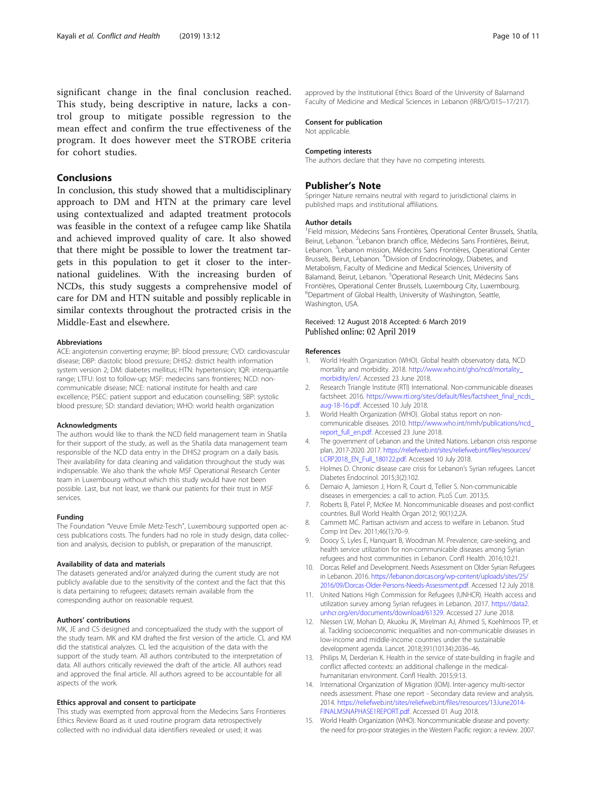<span id="page-9-0"></span>significant change in the final conclusion reached. This study, being descriptive in nature, lacks a control group to mitigate possible regression to the mean effect and confirm the true effectiveness of the program. It does however meet the STROBE criteria for cohort studies.

#### Conclusions

In conclusion, this study showed that a multidisciplinary approach to DM and HTN at the primary care level using contextualized and adapted treatment protocols was feasible in the context of a refugee camp like Shatila and achieved improved quality of care. It also showed that there might be possible to lower the treatment targets in this population to get it closer to the international guidelines. With the increasing burden of NCDs, this study suggests a comprehensive model of care for DM and HTN suitable and possibly replicable in similar contexts throughout the protracted crisis in the Middle-East and elsewhere.

#### Abbreviations

ACE: angiotensin converting enzyme; BP: blood pressure; CVD: cardiovascular disease; DBP: diastolic blood pressure; DHIS2: district health information system version 2; DM: diabetes mellitus; HTN: hypertension; IQR: interquartile range; LTFU: lost to follow-up; MSF: medecins sans frontieres; NCD: noncommunicable disease; NICE: national institute for health and care excellence; PSEC: patient support and education counselling; SBP: systolic blood pressure; SD: standard deviation; WHO: world health organization

#### Acknowledgments

The authors would like to thank the NCD field management team in Shatila for their support of the study, as well as the Shatila data management team responsible of the NCD data entry in the DHIS2 program on a daily basis. Their availability for data cleaning and validation throughout the study was indispensable. We also thank the whole MSF Operational Research Center team in Luxembourg without which this study would have not been possible. Last, but not least, we thank our patients for their trust in MSF services.

#### Funding

The Foundation "Veuve Emile Metz-Tesch", Luxembourg supported open access publications costs. The funders had no role in study design, data collection and analysis, decision to publish, or preparation of the manuscript.

#### Availability of data and materials

The datasets generated and/or analyzed during the current study are not publicly available due to the sensitivity of the context and the fact that this is data pertaining to refugees; datasets remain available from the corresponding author on reasonable request.

#### Authors' contributions

MK. JF and CS designed and conceptualized the study with the support of the study team. MK and KM drafted the first version of the article. CL and KM did the statistical analyzes. CL led the acquisition of the data with the support of the study team. All authors contributed to the interpretation of data. All authors critically reviewed the draft of the article. All authors read and approved the final article. All authors agreed to be accountable for all aspects of the work.

#### Ethics approval and consent to participate

This study was exempted from approval from the Medecins Sans Frontieres Ethics Review Board as it used routine program data retrospectively collected with no individual data identifiers revealed or used; it was

approved by the Institutional Ethics Board of the University of Balamand Faculty of Medicine and Medical Sciences in Lebanon (IRB/O/015–17/217).

#### Consent for publication

Not applicable.

#### Competing interests

The authors declare that they have no competing interests.

#### Publisher's Note

Springer Nature remains neutral with regard to jurisdictional claims in published maps and institutional affiliations.

#### Author details

<sup>1</sup>Field mission, Médecins Sans Frontières, Operational Center Brussels, Shatila Beirut, Lebanon. <sup>2</sup> Lebanon branch office, Médecins Sans Frontières, Beirut, Lebanon. <sup>3</sup> Lebanon mission, Médecins Sans Frontières, Operational Center Brussels, Beirut, Lebanon. <sup>4</sup> Division of Endocrinology, Diabetes, and Metabolism, Faculty of Medicine and Medical Sciences, University of Balamand, Beirut, Lebanon. <sup>5</sup>Operational Research Unit, Médecins Sans Frontières, Operational Center Brussels, Luxembourg City, Luxembourg. 6 Department of Global Health, University of Washington, Seattle, Washington, USA.

#### Received: 12 August 2018 Accepted: 6 March 2019 Published online: 02 April 2019

#### References

- 1. World Health Organization (WHO). Global health observatory data, NCD mortality and morbidity. 2018. [http://www.who.int/gho/ncd/mortality\\_](http://www.who.int/gho/ncd/mortality_morbidity/en/) [morbidity/en/](http://www.who.int/gho/ncd/mortality_morbidity/en/). Accessed 23 June 2018.
- 2. Research Triangle Institute (RTI) International. Non-communicable diseases factsheet. 2016. https://www.rti.org/sites/default/files/factsheet\_final\_ncds [aug-18-16.pdf](https://www.rti.org/sites/default/files/factsheet_final_ncds_aug-18-16.pdf). Accessed 10 July 2018.
- 3. World Health Organization (WHO). Global status report on noncommunicable diseases. 2010. [http://www.who.int/nmh/publications/ncd\\_](http://www.who.int/nmh/publications/ncd_report_full_en.pdf) [report\\_full\\_en.pdf.](http://www.who.int/nmh/publications/ncd_report_full_en.pdf) Accessed 23 June 2018.
- 4. The government of Lebanon and the United Nations. Lebanon crisis response plan, 2017-2020. 2017. [https://reliefweb.int/sites/reliefweb.int/files/resources/](https://reliefweb.int/sites/reliefweb.int/files/resources/LCRP2018_EN_Full_180122.pdf) [LCRP2018\\_EN\\_Full\\_180122.pdf.](https://reliefweb.int/sites/reliefweb.int/files/resources/LCRP2018_EN_Full_180122.pdf) Accessed 10 July 2018
- 5. Holmes D. Chronic disease care crisis for Lebanon's Syrian refugees. Lancet Diabetes Endocrinol. 2015;3(2):102.
- 6. Demaio A, Jamieson J, Horn R, Court d, Tellier S. Non-communicable diseases in emergencies: a call to action. PLoS Curr. 2013;5.
- 7. Roberts B, Patel P, McKee M. Noncommunicable diseases and post-conflict countries. Bull World Health Organ 2012; 90(1):2,2A.
- 8. Cammett MC. Partisan activism and access to welfare in Lebanon. Stud Comp Int Dev. 2011;46(1):70–9.
- 9. Doocy S, Lyles E, Hanquart B, Woodman M. Prevalence, care-seeking, and health service utilization for non-communicable diseases among Syrian refugees and host communities in Lebanon. Confl Health. 2016;10:21.
- 10. Dorcas Relief and Development. Needs Assessment on Older Syrian Refugees in Lebanon. 2016. https://lebanon.dorcas.org/wp-content/uploads/sites/25 [2016/09/Dorcas-Older-Persons-Needs-Assessment.pdf](https://lebanon.dorcas.org/wp-content/uploads/sites/25/2016/09/Dorcas-Older-Persons-Needs-Assessment.pdf). Accessed 12 July 2018.
- 11. United Nations High Commission for Refugees (UNHCR). Health access and utilization survey among Syrian refugees in Lebanon. 2017. [https://data2.](https://data2.unhcr.org/en/documents/download/61329) [unhcr.org/en/documents/download/61329](https://data2.unhcr.org/en/documents/download/61329). Accessed 27 June 2018.
- 12. Niessen LW, Mohan D, Akuoku JK, Mirelman AJ, Ahmed S, Koehlmoos TP, et al. Tackling socioeconomic inequalities and non-communicable diseases in low-income and middle-income countries under the sustainable development agenda. Lancet. 2018;391(10134):2036–46.
- 13. Philips M, Derderian K. Health in the service of state-building in fragile and conflict affected contexts: an additional challenge in the medicalhumanitarian environment. Confl Health. 2015;9:13.
- 14. International Organization of Migration (IOM). Inter-agency multi-sector needs assessment. Phase one report - Secondary data review and analysis. 2014. [https://reliefweb.int/sites/reliefweb.int/files/resources/13June2014-](https://reliefweb.int/sites/reliefweb.int/files/resources/13June2014-FINALMSNAPHASE1REPORT.pdf) [FINALMSNAPHASE1REPORT.pdf.](https://reliefweb.int/sites/reliefweb.int/files/resources/13June2014-FINALMSNAPHASE1REPORT.pdf) Accessed 01 Aug 2018.
- 15. World Health Organization (WHO). Noncommunicable disease and poverty: the need for pro-poor strategies in the Western Pacific region: a review. 2007.